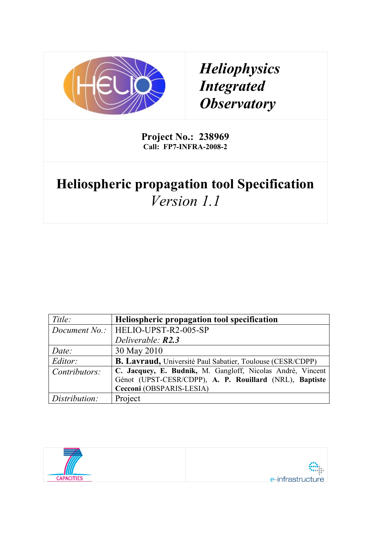

# *Heliophysics Integrated Observatory*

**Project No.: 238969 Call: FP7-INFRA-2008-2**

# **Heliospheric propagation tool Specification** *Version 1.1*

| Title:        | Heliospheric propagation tool specification                       |
|---------------|-------------------------------------------------------------------|
|               | Document No.:   HELIO-UPST-R2-005-SP                              |
|               | Deliverable: <b>R2.3</b>                                          |
| Date:         | 30 May 2010                                                       |
| Editor:       | <b>B. Lavraud, Université Paul Sabatier, Toulouse (CESR/CDPP)</b> |
| Contributors: | C. Jacquey, E. Budnik, M. Gangloff, Nicolas André, Vincent        |
|               | Génot (UPST-CESR/CDPP), A. P. Rouillard (NRL), Baptiste           |
|               | Cecconi (OBSPARIS-LESIA)                                          |
| Distribution: | Project                                                           |

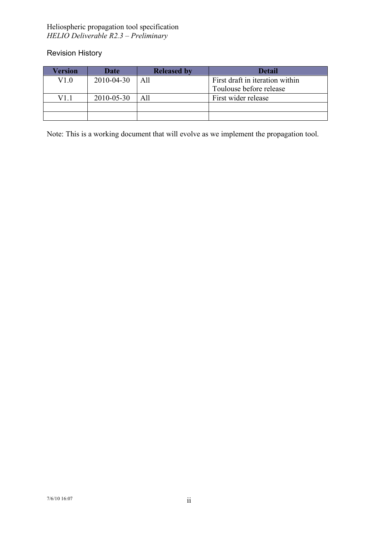Revision History

| Version | <b>Date</b> | <b>Released by</b> | Detail                          |
|---------|-------------|--------------------|---------------------------------|
| V1.0    | 2010-04-30  | All                | First draft in iteration within |
|         |             |                    | Toulouse before release         |
| V1 1    | 2010-05-30  | A11                | First wider release             |
|         |             |                    |                                 |
|         |             |                    |                                 |

Note: This is a working document that will evolve as we implement the propagation tool.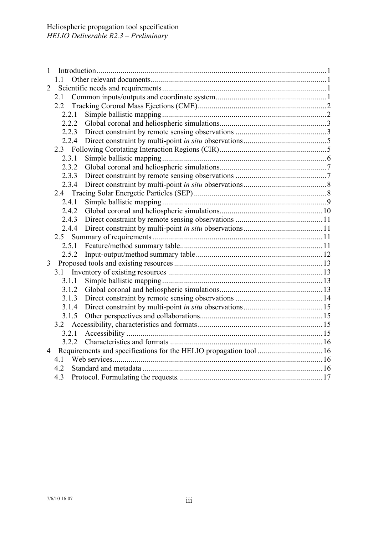| 1              |                |  |
|----------------|----------------|--|
|                | 11             |  |
| $\overline{2}$ |                |  |
|                | 2.1            |  |
|                |                |  |
|                | 2.2.1          |  |
|                | 2.2.2          |  |
|                | 2.2.3          |  |
|                | 2.2.4          |  |
|                |                |  |
|                | 2.3.1          |  |
|                | 2.3.2          |  |
|                | 2.3.3          |  |
|                | 2.3.4          |  |
|                |                |  |
|                | 2.4.1          |  |
|                | 2.4.2          |  |
|                | 2.4.3          |  |
|                | 2.4.4          |  |
|                |                |  |
|                |                |  |
|                |                |  |
| 3              |                |  |
|                |                |  |
|                | 3.1.1          |  |
|                | 3.1.2          |  |
|                | 3.1.3          |  |
|                | 3.1.4<br>3.1.5 |  |
|                |                |  |
|                | 3.2.1          |  |
|                |                |  |
| $\overline{4}$ |                |  |
|                | 4.1            |  |
|                | 4.2            |  |
|                | 4.3            |  |
|                |                |  |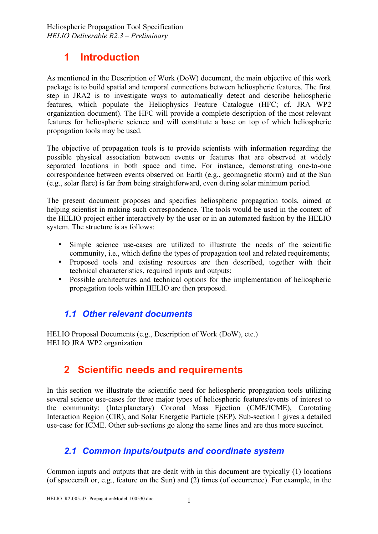# **1 Introduction**

As mentioned in the Description of Work (DoW) document, the main objective of this work package is to build spatial and temporal connections between heliospheric features. The first step in JRA2 is to investigate ways to automatically detect and describe heliospheric features, which populate the Heliophysics Feature Catalogue (HFC; cf. JRA WP2 organization document). The HFC will provide a complete description of the most relevant features for heliospheric science and will constitute a base on top of which heliospheric propagation tools may be used.

The objective of propagation tools is to provide scientists with information regarding the possible physical association between events or features that are observed at widely separated locations in both space and time. For instance, demonstrating one-to-one correspondence between events observed on Earth (e.g., geomagnetic storm) and at the Sun (e.g., solar flare) is far from being straightforward, even during solar minimum period.

The present document proposes and specifies heliospheric propagation tools, aimed at helping scientist in making such correspondence. The tools would be used in the context of the HELIO project either interactively by the user or in an automated fashion by the HELIO system. The structure is as follows:

- Simple science use-cases are utilized to illustrate the needs of the scientific community, i.e., which define the types of propagation tool and related requirements;
- Proposed tools and existing resources are then described, together with their technical characteristics, required inputs and outputs;
- Possible architectures and technical options for the implementation of heliospheric propagation tools within HELIO are then proposed.

## *1.1 Other relevant documents*

HELIO Proposal Documents (e.g., Description of Work (DoW), etc.) HELIO JRA WP2 organization

# **2 Scientific needs and requirements**

In this section we illustrate the scientific need for heliospheric propagation tools utilizing several science use-cases for three major types of heliospheric features/events of interest to the community: (Interplanetary) Coronal Mass Ejection (CME/ICME), Corotating Interaction Region (CIR), and Solar Energetic Particle (SEP). Sub-section 1 gives a detailed use-case for ICME. Other sub-sections go along the same lines and are thus more succinct.

# *2.1 Common inputs/outputs and coordinate system*

Common inputs and outputs that are dealt with in this document are typically (1) locations (of spacecraft or, e.g., feature on the Sun) and (2) times (of occurrence). For example, in the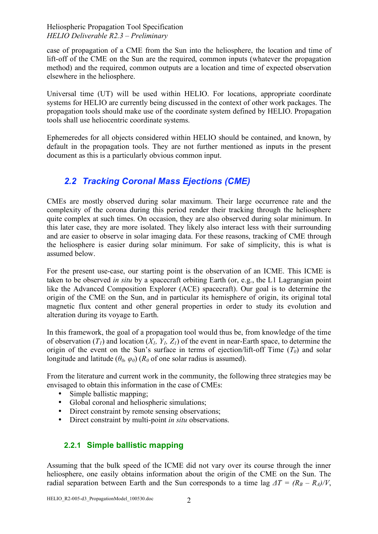case of propagation of a CME from the Sun into the heliosphere, the location and time of lift-off of the CME on the Sun are the required, common inputs (whatever the propagation method) and the required, common outputs are a location and time of expected observation elsewhere in the heliosphere.

Universal time (UT) will be used within HELIO. For locations, appropriate coordinate systems for HELIO are currently being discussed in the context of other work packages. The propagation tools should make use of the coordinate system defined by HELIO. Propagation tools shall use heliocentric coordinate systems.

Ephemeredes for all objects considered within HELIO should be contained, and known, by default in the propagation tools. They are not further mentioned as inputs in the present document as this is a particularly obvious common input.

# *2.2 Tracking Coronal Mass Ejections (CME)*

CMEs are mostly observed during solar maximum. Their large occurrence rate and the complexity of the corona during this period render their tracking through the heliosphere quite complex at such times. On occasion, they are also observed during solar minimum. In this later case, they are more isolated. They likely also interact less with their surrounding and are easier to observe in solar imaging data. For these reasons, tracking of CME through the heliosphere is easier during solar minimum. For sake of simplicity, this is what is assumed below.

For the present use-case, our starting point is the observation of an ICME. This ICME is taken to be observed *in situ* by a spacecraft orbiting Earth (or, e.g., the L1 Lagrangian point like the Advanced Composition Explorer (ACE) spacecraft). Our goal is to determine the origin of the CME on the Sun, and in particular its hemisphere of origin, its original total magnetic flux content and other general properties in order to study its evolution and alteration during its voyage to Earth.

In this framework, the goal of a propagation tool would thus be, from knowledge of the time of observation  $(T_1)$  and location  $(X_1, Y_1, Z_1)$  of the event in near-Earth space, to determine the origin of the event on the Sun's surface in terms of ejection/lift-off Time  $(T_0)$  and solar longitude and latitude ( $\theta_0$ ,  $\varphi_0$ ) ( $R_0$  of one solar radius is assumed).

From the literature and current work in the community, the following three strategies may be envisaged to obtain this information in the case of CMEs:

- Simple ballistic mapping;<br>• Global coronal and helios
- Global coronal and heliospheric simulations;
- Direct constraint by remote sensing observations;
- Direct constraint by multi-point *in situ* observations.

## **2.2.1 Simple ballistic mapping**

Assuming that the bulk speed of the ICME did not vary over its course through the inner heliosphere, one easily obtains information about the origin of the CME on the Sun. The radial separation between Earth and the Sun corresponds to a time lag  $\Delta T = (R_B - R_A)/V$ ,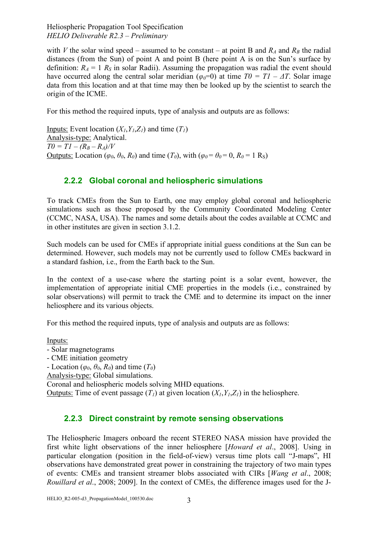with *V* the solar wind speed – assumed to be constant – at point B and  $R_A$  and  $R_B$  the radial distances (from the Sun) of point A and point B (here point A is on the Sun's surface by definition:  $R_A = 1$   $R_S$  in solar Radii). Assuming the propagation was radial the event should have occurred along the central solar meridian ( $\varphi_0=0$ ) at time  $T0 = T1 - \Delta T$ . Solar image data from this location and at that time may then be looked up by the scientist to search the origin of the ICME.

For this method the required inputs, type of analysis and outputs are as follows:

Inputs: Event location  $(X_1, Y_1, Z_1)$  and time  $(T_1)$ Analysis-type: Analytical.  $T0 = TI - (R_B - R_A)/V$ Outputs: Location ( $\varphi_0$ ,  $\theta_0$ ,  $R_0$ ) and time ( $T_0$ ), with ( $\varphi_0 = \theta_0 = 0$ ,  $R_0 = 1$  R<sub>S</sub>)

## **2.2.2 Global coronal and heliospheric simulations**

To track CMEs from the Sun to Earth, one may employ global coronal and heliospheric simulations such as those proposed by the Community Coordinated Modeling Center (CCMC, NASA, USA). The names and some details about the codes available at CCMC and in other institutes are given in section 3.1.2.

Such models can be used for CMEs if appropriate initial guess conditions at the Sun can be determined. However, such models may not be currently used to follow CMEs backward in a standard fashion, i.e., from the Earth back to the Sun.

In the context of a use-case where the starting point is a solar event, however, the implementation of appropriate initial CME properties in the models (i.e., constrained by solar observations) will permit to track the CME and to determine its impact on the inner heliosphere and its various objects.

For this method the required inputs, type of analysis and outputs are as follows:

Inputs:

- Solar magnetograms

- CME initiation geometry

- Location ( $\varphi_0$ ,  $\theta_0$ ,  $R_0$ ) and time ( $T_0$ )

Analysis-type: Global simulations.

Coronal and heliospheric models solving MHD equations.

Outputs: Time of event passage  $(T_1)$  at given location  $(X_1, Y_1, Z_1)$  in the heliosphere.

#### **2.2.3 Direct constraint by remote sensing observations**

The Heliospheric Imagers onboard the recent STEREO NASA mission have provided the first white light observations of the inner heliosphere [*Howard et al*., 2008]. Using in particular elongation (position in the field-of-view) versus time plots call "J-maps", HI observations have demonstrated great power in constraining the trajectory of two main types of events: CMEs and transient streamer blobs associated with CIRs [*Wang et al*., 2008; *Rouillard et al*., 2008; 2009]. In the context of CMEs, the difference images used for the J-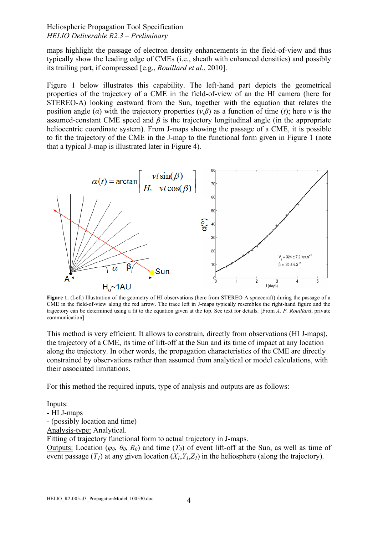maps highlight the passage of electron density enhancements in the field-of-view and thus typically show the leading edge of CMEs (i.e., sheath with enhanced densities) and possibly its trailing part, if compressed [e.g., *Rouillard et al*., 2010].

Figure 1 below illustrates this capability. The left-hand part depicts the geometrical properties of the trajectory of a CME in the field-of-view of an the HI camera (here for STEREO-A) looking eastward from the Sun, together with the equation that relates the position angle ( $\alpha$ ) with the trajectory properties ( $v, \beta$ ) as a function of time (*t*); here *v* is the assumed-constant CME speed and  $\beta$  is the trajectory longitudinal angle (in the appropriate heliocentric coordinate system). From J-maps showing the passage of a CME, it is possible to fit the trajectory of the CME in the J-map to the functional form given in Figure 1 (note that a typical J-map is illustrated later in Figure 4).



**Figure 1.** (Left) Illustration of the geometry of HI observations (here from STEREO-A spacecraft) during the passage of a CME in the field-of-view along the red arrow. The trace left in J-maps typically resembles the right-hand figure and the trajectory can be determined using a fit to the equation given at the top. See text for details. [From *A. P. Rouillard*, private communication]

This method is very efficient. It allows to constrain, directly from observations (HI J-maps), the trajectory of a CME, its time of lift-off at the Sun and its time of impact at any location along the trajectory. In other words, the propagation characteristics of the CME are directly constrained by observations rather than assumed from analytical or model calculations, with their associated limitations.

For this method the required inputs, type of analysis and outputs are as follows:

Inputs:

- HI J-maps

- (possibly location and time)

Analysis-type: Analytical.

Fitting of trajectory functional form to actual trajectory in J-maps.

Outputs: Location ( $\varphi_0$ ,  $\theta_0$ ,  $R_0$ ) and time ( $T_0$ ) of event lift-off at the Sun, as well as time of event passage  $(T_1)$  at any given location  $(X_1, Y_1, Z_1)$  in the heliosphere (along the trajectory).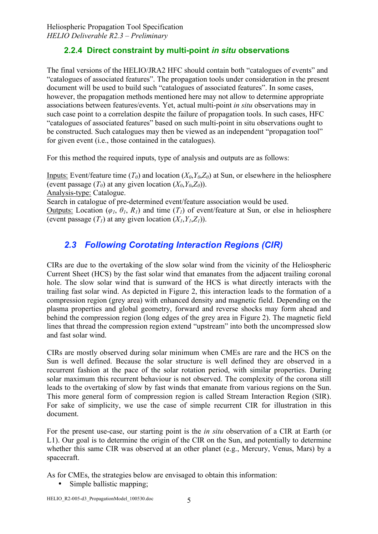## **2.2.4 Direct constraint by multi-point** *in situ* **observations**

The final versions of the HELIO/JRA2 HFC should contain both "catalogues of events" and "catalogues of associated features". The propagation tools under consideration in the present document will be used to build such "catalogues of associated features". In some cases, however, the propagation methods mentioned here may not allow to determine appropriate associations between features/events. Yet, actual multi-point *in situ* observations may in such case point to a correlation despite the failure of propagation tools. In such cases, HFC "catalogues of associated features" based on such multi-point in situ observations ought to be constructed. Such catalogues may then be viewed as an independent "propagation tool" for given event (i.e., those contained in the catalogues).

For this method the required inputs, type of analysis and outputs are as follows:

Inputs: Event/feature time  $(T_0)$  and location  $(X_0, Y_0, Z_0)$  at Sun, or elsewhere in the heliosphere (event passage  $(T_0)$  at any given location  $(X_0, Y_0, Z_0)$ ).

Analysis-type: Catalogue.

Search in catalogue of pre-determined event/feature association would be used.

Outputs: Location ( $\varphi_1$ ,  $\theta_1$ ,  $R_1$ ) and time ( $T_1$ ) of event/feature at Sun, or else in heliosphere (event passage  $(T_1)$  at any given location  $(X_1, Y_1, Z_1)$ ).

# *2.3 Following Corotating Interaction Regions (CIR)*

CIRs are due to the overtaking of the slow solar wind from the vicinity of the Heliospheric Current Sheet (HCS) by the fast solar wind that emanates from the adjacent trailing coronal hole. The slow solar wind that is sunward of the HCS is what directly interacts with the trailing fast solar wind. As depicted in Figure 2, this interaction leads to the formation of a compression region (grey area) with enhanced density and magnetic field. Depending on the plasma properties and global geometry, forward and reverse shocks may form ahead and behind the compression region (long edges of the grey area in Figure 2). The magnetic field lines that thread the compression region extend "upstream" into both the uncompressed slow and fast solar wind.

CIRs are mostly observed during solar minimum when CMEs are rare and the HCS on the Sun is well defined. Because the solar structure is well defined they are observed in a recurrent fashion at the pace of the solar rotation period, with similar properties. During solar maximum this recurrent behaviour is not observed. The complexity of the corona still leads to the overtaking of slow by fast winds that emanate from various regions on the Sun. This more general form of compression region is called Stream Interaction Region (SIR). For sake of simplicity, we use the case of simple recurrent CIR for illustration in this document.

For the present use-case, our starting point is the *in situ* observation of a CIR at Earth (or L1). Our goal is to determine the origin of the CIR on the Sun, and potentially to determine whether this same CIR was observed at an other planet (e.g., Mercury, Venus, Mars) by a spacecraft.

As for CMEs, the strategies below are envisaged to obtain this information:

• Simple ballistic mapping;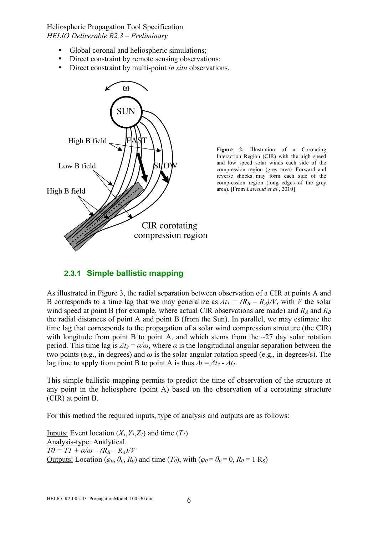- Global coronal and heliospheric simulations;
- Direct constraint by remote sensing observations;
- Direct constraint by multi-point *in situ* observations.



**Figure 2.** Illustration of a Corotating Interaction Region (CIR) with the high speed and low speed solar winds each side of the compression region (grey area). Forward and reverse shocks may form each side of the compression region (long edges of the grey area). [From *Lavraud et al*., 2010]

## **2.3.1 Simple ballistic mapping**

As illustrated in Figure 3, the radial separation between observation of a CIR at points A and B corresponds to a time lag that we may generalize as  $\Delta t_1 = (R_B - R_A)/V$ , with *V* the solar wind speed at point B (for example, where actual CIR observations are made) and  $R_A$  and  $R_B$ the radial distances of point A and point B (from the Sun). In parallel, we may estimate the time lag that corresponds to the propagation of a solar wind compression structure (the CIR) with longitude from point B to point A, and which stems from the  $\sim$ 27 day solar rotation period. This time lag is  $\Delta t_2 = \alpha/\omega$ , where  $\alpha$  is the longitudinal angular separation between the two points (e.g., in degrees) and *ω* is the solar angular rotation speed (e.g., in degrees/s). The lag time to apply from point B to point A is thus  $\Delta t = \Delta t_2 - \Delta t_1$ .

This simple ballistic mapping permits to predict the time of observation of the structure at any point in the heliosphere (point A) based on the observation of a corotating structure (CIR) at point B.

For this method the required inputs, type of analysis and outputs are as follows:

Inputs: Event location  $(X_1, Y_1, Z_1)$  and time  $(T_1)$ Analysis-type: Analytical.  $T0 = T1 + \alpha/\omega - (R_B - R_A)/V$ Outputs: Location ( $φ$ <sup>0</sup>,  $θ$ <sup>0</sup>,  $R$ <sup>0</sup>) and time ( $T$ <sup>0</sup>), with ( $φ$ <sup> $0 = θ$ </sup> $0 = 0$ ,  $R$ <sup> $0 = 1$ </sup> R<sub>S</sub>)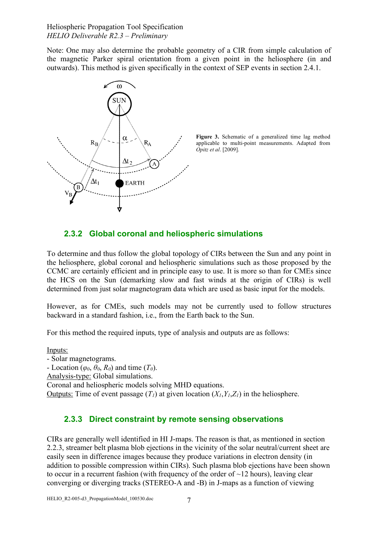Note: One may also determine the probable geometry of a CIR from simple calculation of the magnetic Parker spiral orientation from a given point in the heliosphere (in and outwards). This method is given specifically in the context of SEP events in section 2.4.1.



**Figure 3.** Schematic of a generalized time lag method applicable to multi-point measurements. Adapted from *Opitz et al*. [2009].

## **2.3.2 Global coronal and heliospheric simulations**

To determine and thus follow the global topology of CIRs between the Sun and any point in the heliosphere, global coronal and heliospheric simulations such as those proposed by the CCMC are certainly efficient and in principle easy to use. It is more so than for CMEs since the HCS on the Sun (demarking slow and fast winds at the origin of CIRs) is well determined from just solar magnetogram data which are used as basic input for the models.

However, as for CMEs, such models may not be currently used to follow structures backward in a standard fashion, i.e., from the Earth back to the Sun.

For this method the required inputs, type of analysis and outputs are as follows:

Inputs:

- Solar magnetograms. - Location ( $\varphi_0$ ,  $\theta_0$ ,  $R_0$ ) and time ( $T_0$ ). Analysis-type: Global simulations. Coronal and heliospheric models solving MHD equations. Outputs: Time of event passage  $(T_l)$  at given location  $(X_l, Y_l, Z_l)$  in the heliosphere.

## **2.3.3 Direct constraint by remote sensing observations**

CIRs are generally well identified in HI J-maps. The reason is that, as mentioned in section 2.2.3, streamer belt plasma blob ejections in the vicinity of the solar neutral/current sheet are easily seen in difference images because they produce variations in electron density (in addition to possible compression within CIRs). Such plasma blob ejections have been shown to occur in a recurrent fashion (with frequency of the order of  $\sim$ 12 hours), leaving clear converging or diverging tracks (STEREO-A and -B) in J-maps as a function of viewing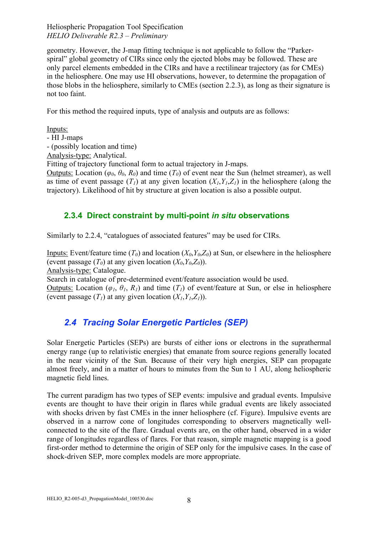geometry. However, the J-map fitting technique is not applicable to follow the "Parkerspiral" global geometry of CIRs since only the ejected blobs may be followed. These are only parcel elements embedded in the CIRs and have a rectilinear trajectory (as for CMEs) in the heliosphere. One may use HI observations, however, to determine the propagation of those blobs in the heliosphere, similarly to CMEs (section 2.2.3), as long as their signature is not too faint.

For this method the required inputs, type of analysis and outputs are as follows:

Inputs:

- HI J-maps

- (possibly location and time)

Analysis-type: Analytical.

Fitting of trajectory functional form to actual trajectory in J-maps.

Outputs: Location ( $\varphi_0$ ,  $\theta_0$ ,  $R_0$ ) and time ( $T_0$ ) of event near the Sun (helmet streamer), as well as time of event passage  $(T_1)$  at any given location  $(X_1, Y_1, Z_1)$  in the heliosphere (along the trajectory). Likelihood of hit by structure at given location is also a possible output.

## **2.3.4 Direct constraint by multi-point** *in situ* **observations**

Similarly to 2.2.4, "catalogues of associated features" may be used for CIRs.

Inputs: Event/feature time  $(T_0)$  and location  $(X_0, Y_0, Z_0)$  at Sun, or elsewhere in the heliosphere (event passage  $(T_0)$  at any given location  $(X_0, Y_0, Z_0)$ ).

Analysis-type: Catalogue.

Search in catalogue of pre-determined event/feature association would be used.

Outputs: Location ( $\varphi_1$ ,  $\vartheta_1$ ,  $\vartheta_1$ ) and time ( $T_1$ ) of event/feature at Sun, or else in heliosphere (event passage  $(T_1)$  at any given location  $(X_1, Y_1, Z_1)$ ).

# *2.4 Tracing Solar Energetic Particles (SEP)*

Solar Energetic Particles (SEPs) are bursts of either ions or electrons in the suprathermal energy range (up to relativistic energies) that emanate from source regions generally located in the near vicinity of the Sun. Because of their very high energies, SEP can propagate almost freely, and in a matter of hours to minutes from the Sun to 1 AU, along heliospheric magnetic field lines.

The current paradigm has two types of SEP events: impulsive and gradual events. Impulsive events are thought to have their origin in flares while gradual events are likely associated with shocks driven by fast CMEs in the inner heliosphere (cf. Figure). Impulsive events are observed in a narrow cone of longitudes corresponding to observers magnetically wellconnected to the site of the flare. Gradual events are, on the other hand, observed in a wider range of longitudes regardless of flares. For that reason, simple magnetic mapping is a good first-order method to determine the origin of SEP only for the impulsive cases. In the case of shock-driven SEP, more complex models are more appropriate.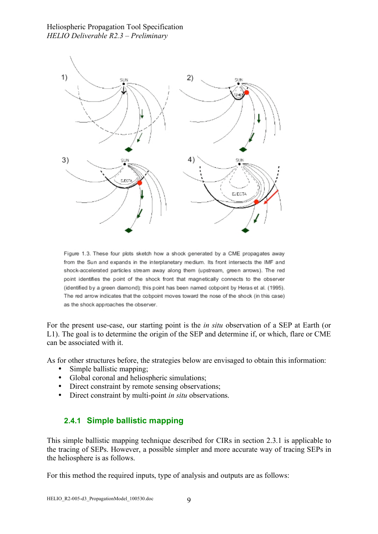

Figure 1.3. These four plots sketch how a shock generated by a CME propagates away from the Sun and expands in the interplanetary medium. Its front intersects the IMF and shock-accelerated particles stream away along them (upstream, green arrows). The red point identifies the point of the shock front that magnetically connects to the observer (identified by a green diamond); this point has been named cobpoint by Heras et al. (1995). The red arrow indicates that the cobpoint moves toward the nose of the shock (in this case) as the shock approaches the observer.

For the present use-case, our starting point is the *in situ* observation of a SEP at Earth (or L1). The goal is to determine the origin of the SEP and determine if, or which, flare or CME can be associated with it.

As for other structures before, the strategies below are envisaged to obtain this information:

- Simple ballistic mapping;
- Global coronal and heliospheric simulations;
- Direct constraint by remote sensing observations;
- Direct constraint by multi-point *in situ* observations.

#### **2.4.1 Simple ballistic mapping**

This simple ballistic mapping technique described for CIRs in section 2.3.1 is applicable to the tracing of SEPs. However, a possible simpler and more accurate way of tracing SEPs in the heliosphere is as follows.

For this method the required inputs, type of analysis and outputs are as follows: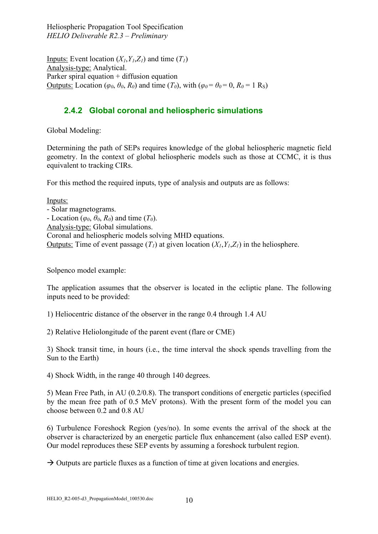Inputs: Event location  $(X_1, Y_1, Z_1)$  and time  $(T_1)$ Analysis-type: Analytical. Parker spiral equation + diffusion equation Outputs: Location ( $\varphi_0$ ,  $\theta_0$ ,  $R_0$ ) and time ( $T_0$ ), with ( $\varphi_0 = \theta_0 = 0$ ,  $R_0 = 1$  R<sub>S</sub>)

#### **2.4.2 Global coronal and heliospheric simulations**

Global Modeling:

Determining the path of SEPs requires knowledge of the global heliospheric magnetic field geometry. In the context of global heliospheric models such as those at CCMC, it is thus equivalent to tracking CIRs.

For this method the required inputs, type of analysis and outputs are as follows:

Inputs: - Solar magnetograms. - Location ( $\varphi_0$ ,  $\theta_0$ ,  $R_0$ ) and time ( $T_0$ ). Analysis-type: Global simulations. Coronal and heliospheric models solving MHD equations. Outputs: Time of event passage  $(T_1)$  at given location  $(X_1, Y_1, Z_1)$  in the heliosphere.

Solpenco model example:

The application assumes that the observer is located in the ecliptic plane. The following inputs need to be provided:

1) Heliocentric distance of the observer in the range 0.4 through 1.4 AU

2) Relative Heliolongitude of the parent event (flare or CME)

3) Shock transit time, in hours (i.e., the time interval the shock spends travelling from the Sun to the Earth)

4) Shock Width, in the range 40 through 140 degrees.

5) Mean Free Path, in AU (0.2/0.8). The transport conditions of energetic particles (specified by the mean free path of 0.5 MeV protons). With the present form of the model you can choose between 0.2 and 0.8 AU

6) Turbulence Foreshock Region (yes/no). In some events the arrival of the shock at the observer is characterized by an energetic particle flux enhancement (also called ESP event). Our model reproduces these SEP events by assuming a foreshock turbulent region.

 $\rightarrow$  Outputs are particle fluxes as a function of time at given locations and energies.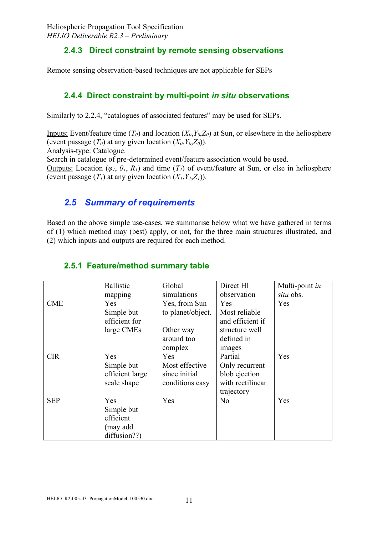## **2.4.3 Direct constraint by remote sensing observations**

Remote sensing observation-based techniques are not applicable for SEPs

## **2.4.4 Direct constraint by multi-point** *in situ* **observations**

Similarly to 2.2.4, "catalogues of associated features" may be used for SEPs.

Inputs: Event/feature time  $(T_0)$  and location  $(X_0, Y_0, Z_0)$  at Sun, or elsewhere in the heliosphere (event passage  $(T_0)$  at any given location  $(X_0, Y_0, Z_0)$ ). Analysis-type: Catalogue. Search in catalogue of pre-determined event/feature association would be used. Outputs: Location ( $\varphi_1$ ,  $\theta_1$ ,  $R_1$ ) and time ( $T_1$ ) of event/feature at Sun, or else in heliosphere (event passage  $(T_1)$  at any given location  $(X_1, Y_1, Z_1)$ ).

# *2.5 Summary of requirements*

Based on the above simple use-cases, we summarise below what we have gathered in terms of (1) which method may (best) apply, or not, for the three main structures illustrated, and (2) which inputs and outputs are required for each method.

|            | <b>Ballistic</b> | Global            | Direct HI        | Multi-point in |
|------------|------------------|-------------------|------------------|----------------|
|            | mapping          | simulations       | observation      | situ obs.      |
| <b>CME</b> | Yes              | Yes, from Sun     | Yes              | Yes            |
|            | Simple but       | to planet/object. | Most reliable    |                |
|            | efficient for    |                   | and efficient if |                |
|            | large CMEs       | Other way         | structure well   |                |
|            |                  | around too        | defined in       |                |
|            |                  | complex           | images           |                |
| <b>CIR</b> | Yes              | Yes               | Partial          | Yes            |
|            | Simple but       | Most effective    | Only recurrent   |                |
|            | efficient large  | since initial     | blob ejection    |                |
|            | scale shape      | conditions easy   | with rectilinear |                |
|            |                  |                   | trajectory       |                |
| <b>SEP</b> | Yes              | Yes               | N <sub>0</sub>   | Yes            |
|            | Simple but       |                   |                  |                |
|            | efficient        |                   |                  |                |
|            | (may add         |                   |                  |                |
|            | diffusion??)     |                   |                  |                |

## **2.5.1 Feature/method summary table**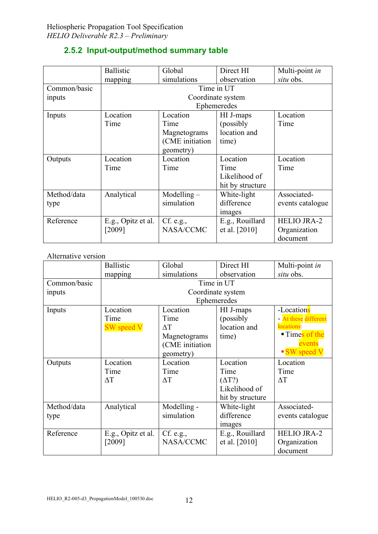|  | 2.5.2 Input-output/method summary table |  |  |
|--|-----------------------------------------|--|--|
|--|-----------------------------------------|--|--|

|              | <b>Ballistic</b>   | Global          | Direct HI         | Multi-point in     |
|--------------|--------------------|-----------------|-------------------|--------------------|
|              | mapping            | simulations     | observation       | situ obs.          |
| Common/basic | Time in UT         |                 |                   |                    |
| inputs       |                    |                 | Coordinate system |                    |
|              |                    |                 | Ephemeredes       |                    |
| Inputs       | Location           | Location        | HI J-maps         | Location           |
|              | Time               | Time            | (possibly)        | Time               |
|              |                    | Magnetograms    | location and      |                    |
|              |                    | (CME initiation | time)             |                    |
|              |                    | geometry)       |                   |                    |
| Outputs      | Location           | Location        | Location          | Location           |
|              | Time               | Time            | Time              | Time               |
|              |                    |                 | Likelihood of     |                    |
|              |                    |                 | hit by structure  |                    |
| Method/data  | Analytical         | $Modelling -$   | White-light       | Associated-        |
| type         |                    | simulation      | difference        | events catalogue   |
|              |                    |                 | images            |                    |
| Reference    | E.g., Opitz et al. | Cf. e.g.,       | E.g., Rouillard   | <b>HELIO JRA-2</b> |
|              | [2009]             | NASA/CCMC       | et al. [2010]     | Organization       |
|              |                    |                 |                   | document           |

#### Alternative version

|              | <b>Ballistic</b>   | Global          | Direct HI         | Multi-point in       |
|--------------|--------------------|-----------------|-------------------|----------------------|
|              | mapping            | simulations     | observation       | situ obs.            |
| Common/basic | Time in UT         |                 |                   |                      |
| inputs       |                    |                 | Coordinate system |                      |
|              |                    |                 | Ephemeredes       |                      |
| Inputs       | Location           | Location        | HI J-maps         | -Locations           |
|              | Time               | Time            | (possibly)        | - At these different |
|              | <b>SW</b> speed V  | $\Delta T$      | location and      | locations:           |
|              |                    | Magnetograms    | time)             | ■ Times of the       |
|              |                    | (CME initiation |                   | events               |
|              |                    | geometry)       |                   | SW speed V           |
| Outputs      | Location           | Location        | Location          | Location             |
|              | Time               | Time            | Time              | Time                 |
|              | $\Delta T$         | $\Delta T$      | $(\Delta T?)$     | $\Delta T$           |
|              |                    |                 | Likelihood of     |                      |
|              |                    |                 | hit by structure  |                      |
| Method/data  | Analytical         | Modelling -     | White-light       | Associated-          |
| type         |                    | simulation      | difference        | events catalogue     |
|              |                    |                 | images            |                      |
| Reference    | E.g., Opitz et al. | Cf. e.g.,       | E.g., Rouillard   | <b>HELIO JRA-2</b>   |
|              | [2009]             | NASA/CCMC       | et al. [2010]     | Organization         |
|              |                    |                 |                   | document             |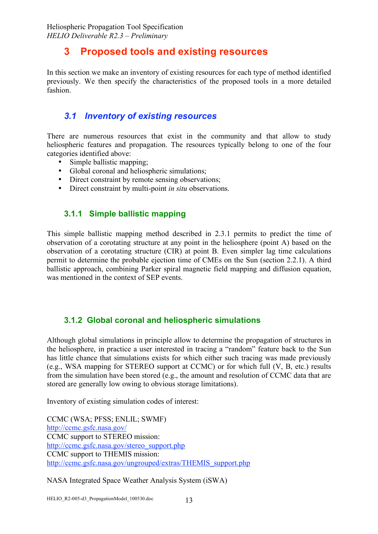# **3 Proposed tools and existing resources**

In this section we make an inventory of existing resources for each type of method identified previously. We then specify the characteristics of the proposed tools in a more detailed fashion.

## *3.1 Inventory of existing resources*

There are numerous resources that exist in the community and that allow to study heliospheric features and propagation. The resources typically belong to one of the four categories identified above:

- Simple ballistic mapping;
- Global coronal and heliospheric simulations;
- Direct constraint by remote sensing observations:
- Direct constraint by multi-point *in situ* observations.

## **3.1.1 Simple ballistic mapping**

This simple ballistic mapping method described in 2.3.1 permits to predict the time of observation of a corotating structure at any point in the heliosphere (point A) based on the observation of a corotating structure (CIR) at point B. Even simpler lag time calculations permit to determine the probable ejection time of CMEs on the Sun (section 2.2.1). A third ballistic approach, combining Parker spiral magnetic field mapping and diffusion equation, was mentioned in the context of SEP events.

#### **3.1.2 Global coronal and heliospheric simulations**

Although global simulations in principle allow to determine the propagation of structures in the heliosphere, in practice a user interested in tracing a "random" feature back to the Sun has little chance that simulations exists for which either such tracing was made previously (e.g., WSA mapping for STEREO support at CCMC) or for which full (V, B, etc.) results from the simulation have been stored (e.g., the amount and resolution of CCMC data that are stored are generally low owing to obvious storage limitations).

Inventory of existing simulation codes of interest:

CCMC (WSA; PFSS; ENLIL; SWMF) http://ccmc.gsfc.nasa.gov/ CCMC support to STEREO mission: http://ccmc.gsfc.nasa.gov/stereo\_support.php CCMC support to THEMIS mission: http://ccmc.gsfc.nasa.gov/ungrouped/extras/THEMIS\_support.php

NASA Integrated Space Weather Analysis System (iSWA)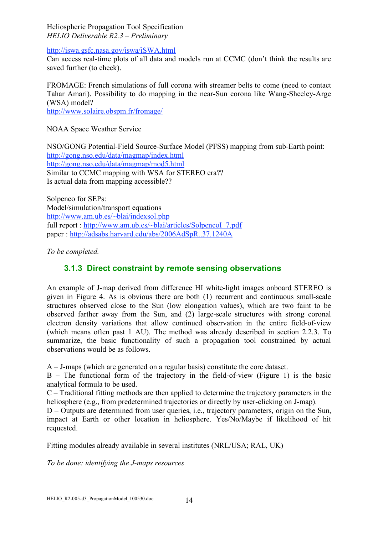http://iswa.gsfc.nasa.gov/iswa/iSWA.html

Can access real-time plots of all data and models run at CCMC (don't think the results are saved further (to check).

FROMAGE: French simulations of full corona with streamer belts to come (need to contact Tahar Amari). Possibility to do mapping in the near-Sun corona like Wang-Sheeley-Arge (WSA) model?

http://www.solaire.obspm.fr/fromage/

NOAA Space Weather Service

NSO/GONG Potential-Field Source-Surface Model (PFSS) mapping from sub-Earth point: http://gong.nso.edu/data/magmap/index.html http://gong.nso.edu/data/magmap/mod5.html Similar to CCMC mapping with WSA for STEREO era?? Is actual data from mapping accessible??

Solpenco for SEPs: Model/simulation/transport equations http://www.am.ub.es/~blai/indexsol.php full report : http://www.am.ub.es/~blai/articles/SolpencoI\_7.pdf paper : http://adsabs.harvard.edu/abs/2006AdSpR..37.1240A

*To be completed.*

## **3.1.3 Direct constraint by remote sensing observations**

An example of J-map derived from difference HI white-light images onboard STEREO is given in Figure 4. As is obvious there are both (1) recurrent and continuous small-scale structures observed close to the Sun (low elongation values), which are two faint to be observed farther away from the Sun, and (2) large-scale structures with strong coronal electron density variations that allow continued observation in the entire field-of-view (which means often past 1 AU). The method was already described in section 2.2.3. To summarize, the basic functionality of such a propagation tool constrained by actual observations would be as follows.

A – J-maps (which are generated on a regular basis) constitute the core dataset.

B – The functional form of the trajectory in the field-of-view (Figure 1) is the basic analytical formula to be used.

 $C -$  Traditional fitting methods are then applied to determine the trajectory parameters in the heliosphere (e.g., from predetermined trajectories or directly by user-clicking on J-map).

D – Outputs are determined from user queries, i.e., trajectory parameters, origin on the Sun, impact at Earth or other location in heliosphere. Yes/No/Maybe if likelihood of hit requested.

Fitting modules already available in several institutes (NRL/USA; RAL, UK)

*To be done: identifying the J-maps resources*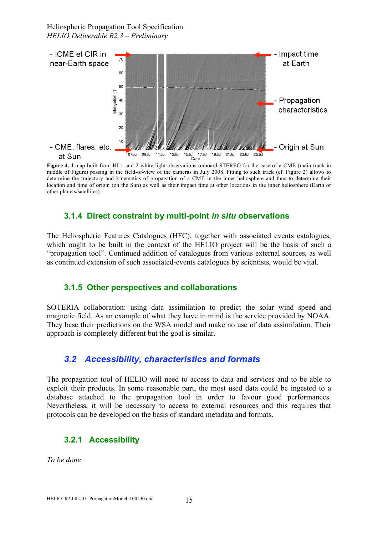

**Figure 4.** J-map built from HI-1 and 2 white-light observations onboard STEREO for the case of a CME (main track in middle of Figure) passing in the field-of-view of the cameras in July 2008. Fitting to such track (cf. Figure 2) allows to determine the trajectory and kinematics of propagation of a CME in the inner heliosphere and thus to determine their location and time of origin (on the Sun) as well as their impact time at other locations in the inner heliosphere (Earth or other planets/satellites).

#### **3.1.4 Direct constraint by multi-point** *in situ* **observations**

The Heliospheric Features Catalogues (HFC), together with associated events catalogues, which ought to be built in the context of the HELIO project will be the basis of such a "propagation tool". Continued addition of catalogues from various external sources, as well as continued extension of such associated-events catalogues by scientists, would be vital.

#### **3.1.5 Other perspectives and collaborations**

SOTERIA collaboration: using data assimilation to predict the solar wind speed and magnetic field. As an example of what they have in mind is the service provided by NOAA. They base their predictions on the WSA model and make no use of data assimilation. Their approach is completely different but the goal is similar.

## *3.2 Accessibility, characteristics and formats*

The propagation tool of HELIO will need to access to data and services and to be able to exploit their products. In some reasonable part, the most used data could be ingested to a database attached to the propagation tool in order to favour good performances. Nevertheless, it will be necessary to access to external resources and this requires that protocols can be developed on the basis of standard metadata and formats.

## **3.2.1 Accessibility**

*To be done*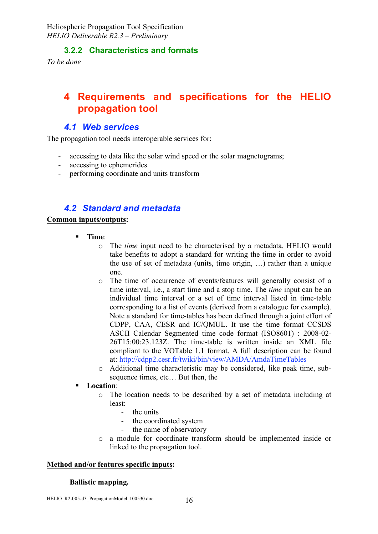#### **3.2.2 Characteristics and formats**

*To be done*

# **4 Requirements and specifications for the HELIO propagation tool**

#### *4.1 Web services*

The propagation tool needs interoperable services for:

- accessing to data like the solar wind speed or the solar magnetograms;
- accessing to ephemerides
- performing coordinate and units transform

## *4.2 Standard and metadata*

#### **Common inputs/outputs:**

- **Time**:
	- o The *time* input need to be characterised by a metadata. HELIO would take benefits to adopt a standard for writing the time in order to avoid the use of set of metadata (units, time origin, …) rather than a unique one.
	- o The time of occurrence of events/features will generally consist of a time interval, i.e., a start time and a stop time. The *time* input can be an individual time interval or a set of time interval listed in time-table corresponding to a list of events (derived from a catalogue for example). Note a standard for time-tables has been defined through a joint effort of CDPP, CAA, CESR and IC/QMUL. It use the time format CCSDS ASCII Calendar Segmented time code format (ISO8601) : 2008-02- 26T15:00:23.123Z. The time-table is written inside an XML file compliant to the VOTable 1.1 format. A full description can be found at: http://cdpp2.cesr.fr/twiki/bin/view/AMDA/AmdaTimeTables
	- o Additional time characteristic may be considered, like peak time, subsequence times, etc… But then, the

#### **Location**:

- o The location needs to be described by a set of metadata including at least:
	- the units
	- the coordinated system
	- the name of observatory
- o a module for coordinate transform should be implemented inside or linked to the propagation tool.

#### **Method and/or features specific inputs:**

#### **Ballistic mapping.**